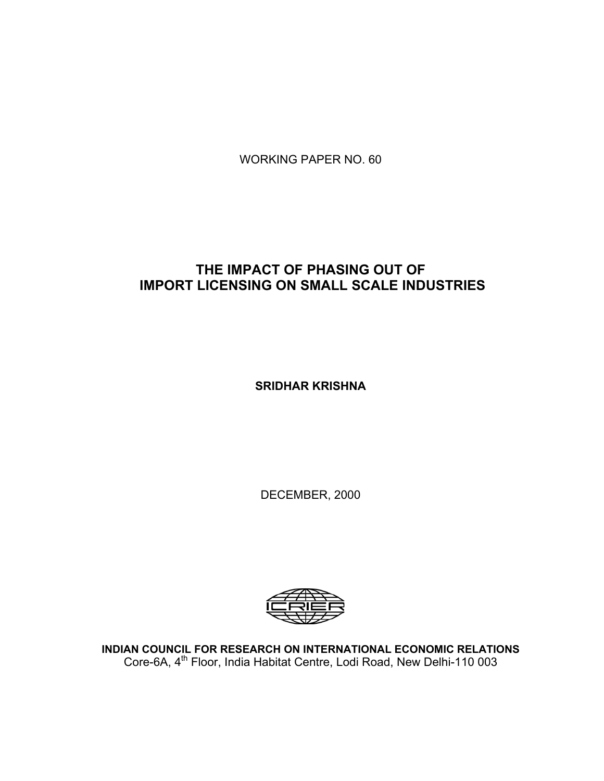WORKING PAPER NO. 60

# **THE IMPACT OF PHASING OUT OF IMPORT LICENSING ON SMALL SCALE INDUSTRIES**

**SRIDHAR KRISHNA** 

DECEMBER, 2000



**INDIAN COUNCIL FOR RESEARCH ON INTERNATIONAL ECONOMIC RELATIONS**  Core-6A, 4<sup>th</sup> Floor, India Habitat Centre, Lodi Road, New Delhi-110 003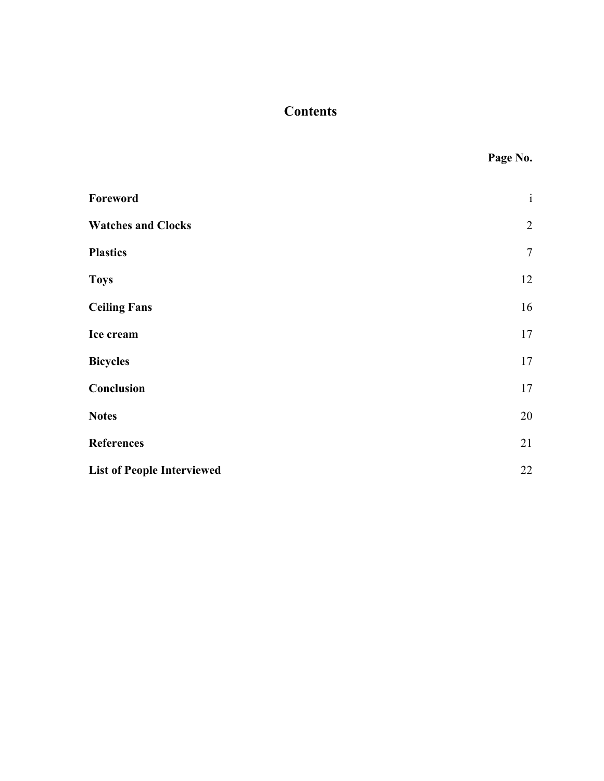# **Contents**

|                                   | Page No.       |
|-----------------------------------|----------------|
| Foreword                          | $\mathbf{i}$   |
| <b>Watches and Clocks</b>         | $\overline{2}$ |
| <b>Plastics</b>                   | $\tau$         |
| <b>Toys</b>                       | 12             |
| <b>Ceiling Fans</b>               | 16             |
| Ice cream                         | 17             |
| <b>Bicycles</b>                   | 17             |
| Conclusion                        | 17             |
| <b>Notes</b>                      | 20             |
| <b>References</b>                 | 21             |
| <b>List of People Interviewed</b> | 22             |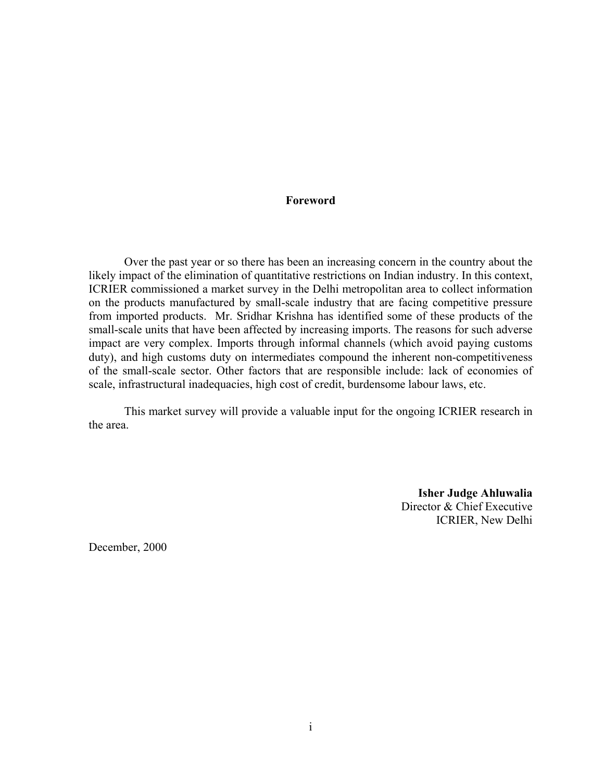#### **Foreword**

Over the past year or so there has been an increasing concern in the country about the likely impact of the elimination of quantitative restrictions on Indian industry. In this context, ICRIER commissioned a market survey in the Delhi metropolitan area to collect information on the products manufactured by small-scale industry that are facing competitive pressure from imported products. Mr. Sridhar Krishna has identified some of these products of the small-scale units that have been affected by increasing imports. The reasons for such adverse impact are very complex. Imports through informal channels (which avoid paying customs duty), and high customs duty on intermediates compound the inherent non-competitiveness of the small-scale sector. Other factors that are responsible include: lack of economies of scale, infrastructural inadequacies, high cost of credit, burdensome labour laws, etc.

This market survey will provide a valuable input for the ongoing ICRIER research in the area.

> **Isher Judge Ahluwalia**  Director & Chief Executive ICRIER, New Delhi

December, 2000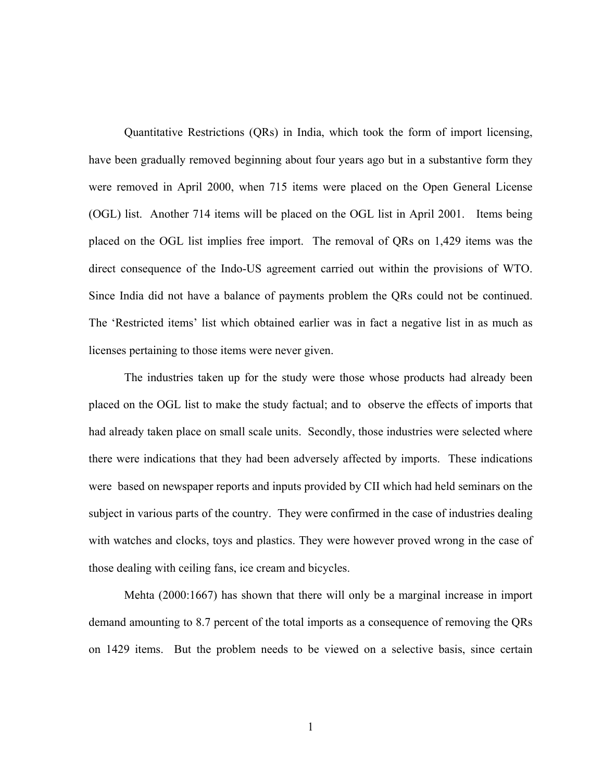Quantitative Restrictions (QRs) in India, which took the form of import licensing, have been gradually removed beginning about four years ago but in a substantive form they were removed in April 2000, when 715 items were placed on the Open General License (OGL) list. Another 714 items will be placed on the OGL list in April 2001. Items being placed on the OGL list implies free import. The removal of QRs on 1,429 items was the direct consequence of the Indo-US agreement carried out within the provisions of WTO. Since India did not have a balance of payments problem the QRs could not be continued. The 'Restricted items' list which obtained earlier was in fact a negative list in as much as licenses pertaining to those items were never given.

The industries taken up for the study were those whose products had already been placed on the OGL list to make the study factual; and to observe the effects of imports that had already taken place on small scale units. Secondly, those industries were selected where there were indications that they had been adversely affected by imports. These indications were based on newspaper reports and inputs provided by CII which had held seminars on the subject in various parts of the country. They were confirmed in the case of industries dealing with watches and clocks, toys and plastics. They were however proved wrong in the case of those dealing with ceiling fans, ice cream and bicycles.

Mehta (2000:1667) has shown that there will only be a marginal increase in import demand amounting to 8.7 percent of the total imports as a consequence of removing the QRs on 1429 items. But the problem needs to be viewed on a selective basis, since certain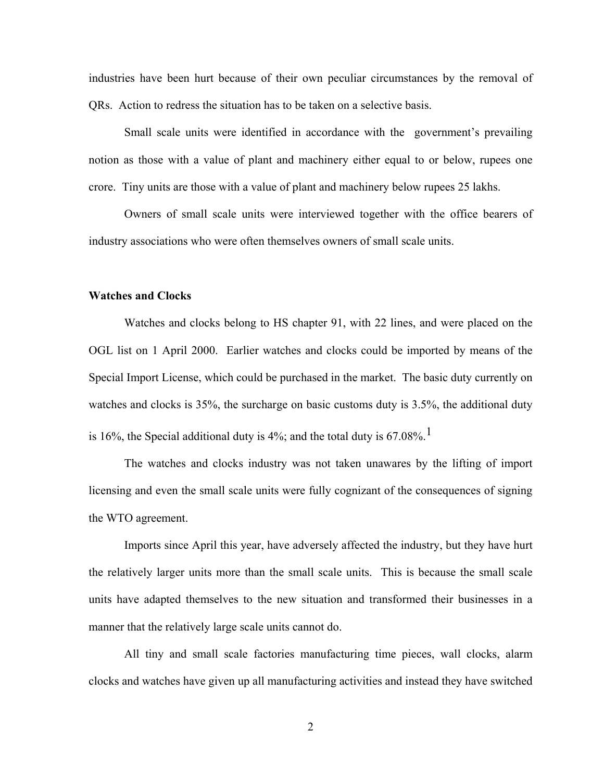industries have been hurt because of their own peculiar circumstances by the removal of QRs. Action to redress the situation has to be taken on a selective basis.

Small scale units were identified in accordance with the government's prevailing notion as those with a value of plant and machinery either equal to or below, rupees one crore. Tiny units are those with a value of plant and machinery below rupees 25 lakhs.

Owners of small scale units were interviewed together with the office bearers of industry associations who were often themselves owners of small scale units.

## **Watches and Clocks**

Watches and clocks belong to HS chapter 91, with 22 lines, and were placed on the OGL list on 1 April 2000. Earlier watches and clocks could be imported by means of the Special Import License, which could be purchased in the market. The basic duty currently on watches and clocks is 35%, the surcharge on basic customs duty is 3.5%, the additional duty is 16%, the Special additional duty is 4%; and the total duty is 67.08%.<sup>1</sup>

The watches and clocks industry was not taken unawares by the lifting of import licensing and even the small scale units were fully cognizant of the consequences of signing the WTO agreement.

Imports since April this year, have adversely affected the industry, but they have hurt the relatively larger units more than the small scale units. This is because the small scale units have adapted themselves to the new situation and transformed their businesses in a manner that the relatively large scale units cannot do.

All tiny and small scale factories manufacturing time pieces, wall clocks, alarm clocks and watches have given up all manufacturing activities and instead they have switched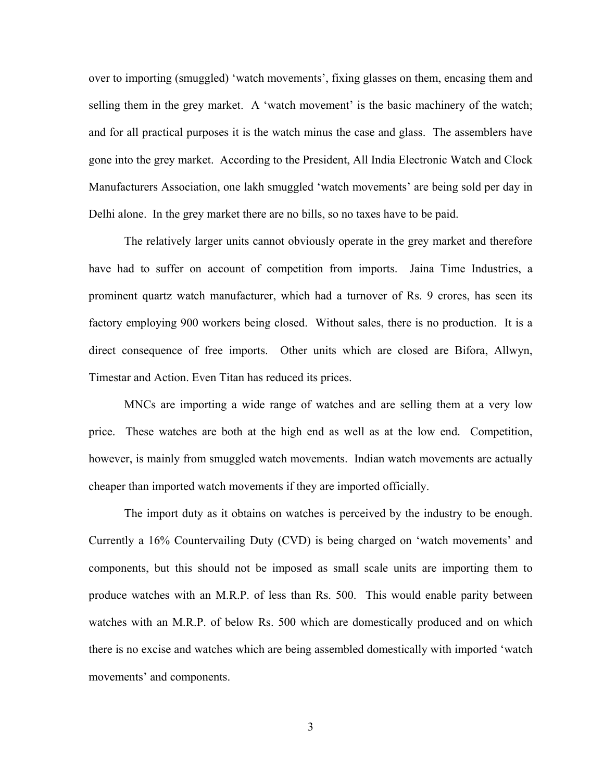over to importing (smuggled) 'watch movements', fixing glasses on them, encasing them and selling them in the grey market. A 'watch movement' is the basic machinery of the watch; and for all practical purposes it is the watch minus the case and glass. The assemblers have gone into the grey market. According to the President, All India Electronic Watch and Clock Manufacturers Association, one lakh smuggled 'watch movements' are being sold per day in Delhi alone. In the grey market there are no bills, so no taxes have to be paid.

The relatively larger units cannot obviously operate in the grey market and therefore have had to suffer on account of competition from imports. Jaina Time Industries, a prominent quartz watch manufacturer, which had a turnover of Rs. 9 crores, has seen its factory employing 900 workers being closed. Without sales, there is no production. It is a direct consequence of free imports. Other units which are closed are Bifora, Allwyn, Timestar and Action. Even Titan has reduced its prices.

MNCs are importing a wide range of watches and are selling them at a very low price. These watches are both at the high end as well as at the low end. Competition, however, is mainly from smuggled watch movements. Indian watch movements are actually cheaper than imported watch movements if they are imported officially.

The import duty as it obtains on watches is perceived by the industry to be enough. Currently a 16% Countervailing Duty (CVD) is being charged on 'watch movements' and components, but this should not be imposed as small scale units are importing them to produce watches with an M.R.P. of less than Rs. 500. This would enable parity between watches with an M.R.P. of below Rs. 500 which are domestically produced and on which there is no excise and watches which are being assembled domestically with imported 'watch movements' and components.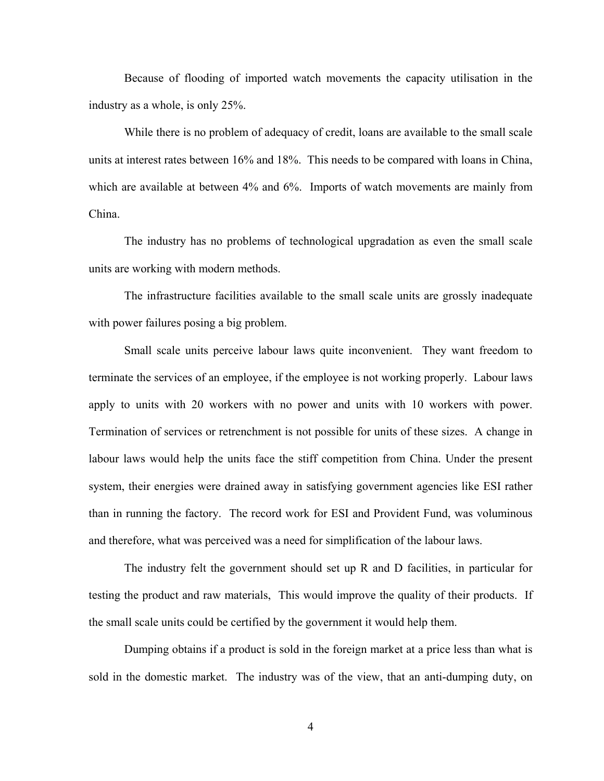Because of flooding of imported watch movements the capacity utilisation in the industry as a whole, is only 25%.

While there is no problem of adequacy of credit, loans are available to the small scale units at interest rates between 16% and 18%. This needs to be compared with loans in China, which are available at between 4% and 6%. Imports of watch movements are mainly from China.

The industry has no problems of technological upgradation as even the small scale units are working with modern methods.

The infrastructure facilities available to the small scale units are grossly inadequate with power failures posing a big problem.

Small scale units perceive labour laws quite inconvenient. They want freedom to terminate the services of an employee, if the employee is not working properly. Labour laws apply to units with 20 workers with no power and units with 10 workers with power. Termination of services or retrenchment is not possible for units of these sizes. A change in labour laws would help the units face the stiff competition from China. Under the present system, their energies were drained away in satisfying government agencies like ESI rather than in running the factory. The record work for ESI and Provident Fund, was voluminous and therefore, what was perceived was a need for simplification of the labour laws.

The industry felt the government should set up R and D facilities, in particular for testing the product and raw materials, This would improve the quality of their products. If the small scale units could be certified by the government it would help them.

Dumping obtains if a product is sold in the foreign market at a price less than what is sold in the domestic market. The industry was of the view, that an anti-dumping duty, on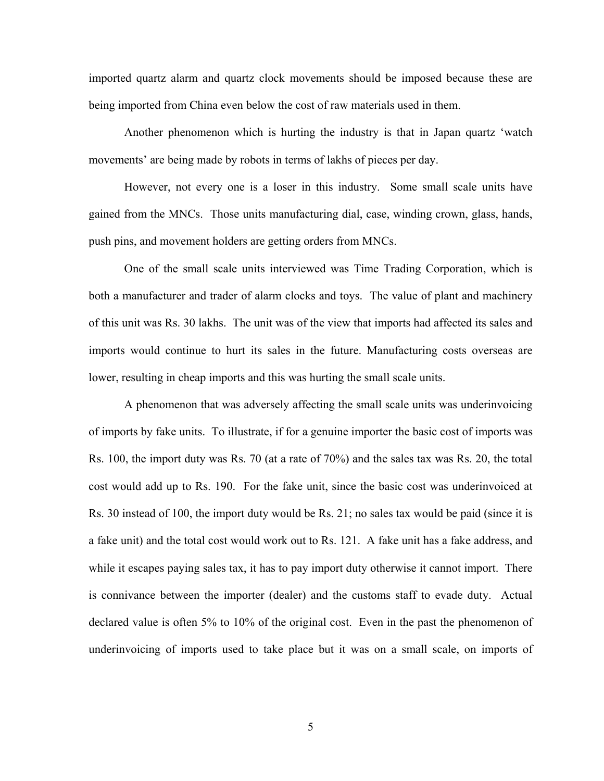imported quartz alarm and quartz clock movements should be imposed because these are being imported from China even below the cost of raw materials used in them.

Another phenomenon which is hurting the industry is that in Japan quartz 'watch movements' are being made by robots in terms of lakhs of pieces per day.

However, not every one is a loser in this industry. Some small scale units have gained from the MNCs. Those units manufacturing dial, case, winding crown, glass, hands, push pins, and movement holders are getting orders from MNCs.

One of the small scale units interviewed was Time Trading Corporation, which is both a manufacturer and trader of alarm clocks and toys. The value of plant and machinery of this unit was Rs. 30 lakhs. The unit was of the view that imports had affected its sales and imports would continue to hurt its sales in the future. Manufacturing costs overseas are lower, resulting in cheap imports and this was hurting the small scale units.

A phenomenon that was adversely affecting the small scale units was underinvoicing of imports by fake units. To illustrate, if for a genuine importer the basic cost of imports was Rs. 100, the import duty was Rs. 70 (at a rate of 70%) and the sales tax was Rs. 20, the total cost would add up to Rs. 190. For the fake unit, since the basic cost was underinvoiced at Rs. 30 instead of 100, the import duty would be Rs. 21; no sales tax would be paid (since it is a fake unit) and the total cost would work out to Rs. 121. A fake unit has a fake address, and while it escapes paying sales tax, it has to pay import duty otherwise it cannot import. There is connivance between the importer (dealer) and the customs staff to evade duty. Actual declared value is often 5% to 10% of the original cost. Even in the past the phenomenon of underinvoicing of imports used to take place but it was on a small scale, on imports of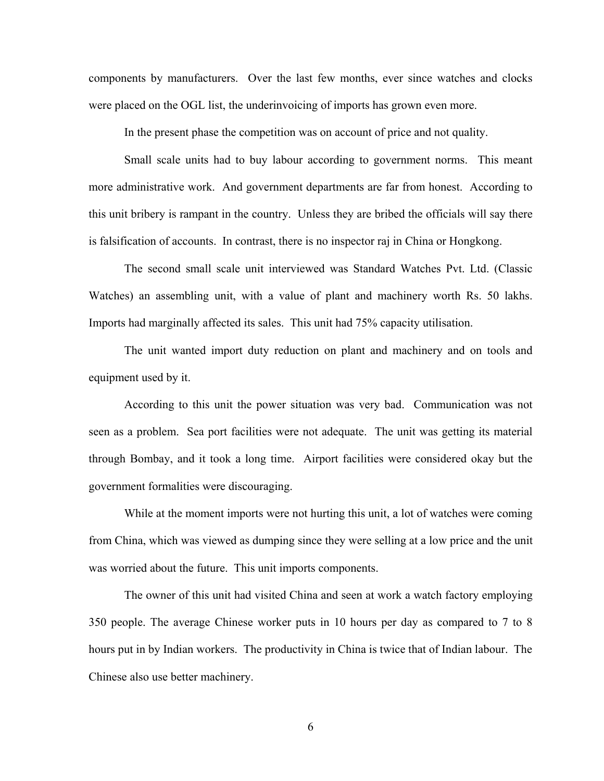components by manufacturers. Over the last few months, ever since watches and clocks were placed on the OGL list, the underinvoicing of imports has grown even more.

In the present phase the competition was on account of price and not quality.

Small scale units had to buy labour according to government norms. This meant more administrative work. And government departments are far from honest. According to this unit bribery is rampant in the country. Unless they are bribed the officials will say there is falsification of accounts. In contrast, there is no inspector raj in China or Hongkong.

The second small scale unit interviewed was Standard Watches Pvt. Ltd. (Classic Watches) an assembling unit, with a value of plant and machinery worth Rs. 50 lakhs. Imports had marginally affected its sales. This unit had 75% capacity utilisation.

The unit wanted import duty reduction on plant and machinery and on tools and equipment used by it.

According to this unit the power situation was very bad. Communication was not seen as a problem. Sea port facilities were not adequate. The unit was getting its material through Bombay, and it took a long time. Airport facilities were considered okay but the government formalities were discouraging.

While at the moment imports were not hurting this unit, a lot of watches were coming from China, which was viewed as dumping since they were selling at a low price and the unit was worried about the future. This unit imports components.

The owner of this unit had visited China and seen at work a watch factory employing 350 people. The average Chinese worker puts in 10 hours per day as compared to 7 to 8 hours put in by Indian workers. The productivity in China is twice that of Indian labour. The Chinese also use better machinery.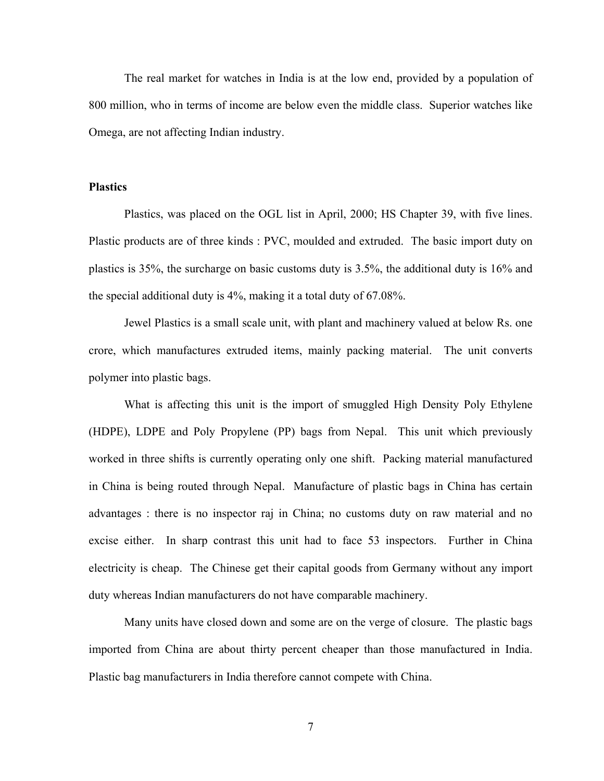The real market for watches in India is at the low end, provided by a population of 800 million, who in terms of income are below even the middle class. Superior watches like Omega, are not affecting Indian industry.

#### **Plastics**

Plastics, was placed on the OGL list in April, 2000; HS Chapter 39, with five lines. Plastic products are of three kinds : PVC, moulded and extruded. The basic import duty on plastics is 35%, the surcharge on basic customs duty is 3.5%, the additional duty is 16% and the special additional duty is 4%, making it a total duty of 67.08%.

Jewel Plastics is a small scale unit, with plant and machinery valued at below Rs. one crore, which manufactures extruded items, mainly packing material. The unit converts polymer into plastic bags.

What is affecting this unit is the import of smuggled High Density Poly Ethylene (HDPE), LDPE and Poly Propylene (PP) bags from Nepal. This unit which previously worked in three shifts is currently operating only one shift. Packing material manufactured in China is being routed through Nepal. Manufacture of plastic bags in China has certain advantages : there is no inspector raj in China; no customs duty on raw material and no excise either. In sharp contrast this unit had to face 53 inspectors. Further in China electricity is cheap. The Chinese get their capital goods from Germany without any import duty whereas Indian manufacturers do not have comparable machinery.

Many units have closed down and some are on the verge of closure. The plastic bags imported from China are about thirty percent cheaper than those manufactured in India. Plastic bag manufacturers in India therefore cannot compete with China.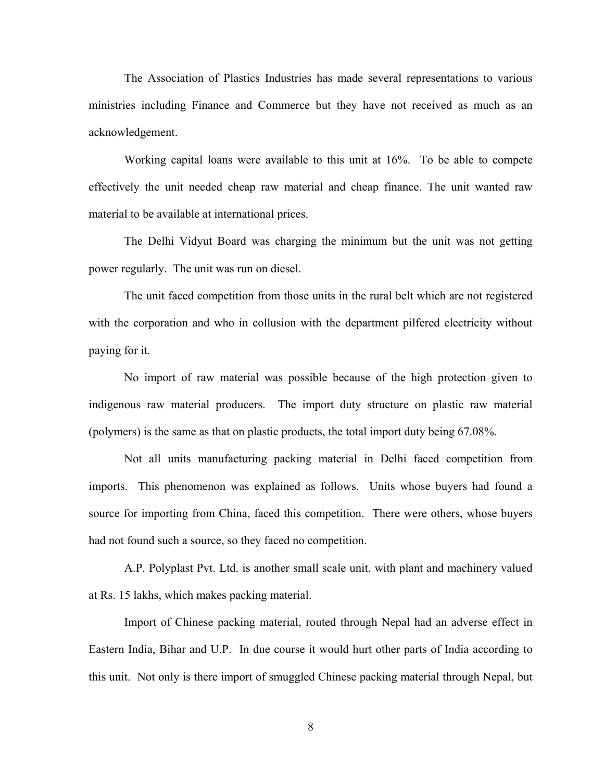The Association of Plastics Industries has made several representations to various ministries including Finance and Commerce but they have not received as much as an acknowledgement.

Working capital loans were available to this unit at 16%. To be able to compete effectively the unit needed cheap raw material and cheap finance. The unit wanted raw material to be available at international prices.

The Delhi Vidyut Board was charging the minimum but the unit was not getting power regularly. The unit was run on diesel.

The unit faced competition from those units in the rural belt which are not registered with the corporation and who in collusion with the department pilfered electricity without paying for it.

No import of raw material was possible because of the high protection given to indigenous raw material producers. The import duty structure on plastic raw material (polymers) is the same as that on plastic products, the total import duty being 67.08%.

Not all units manufacturing packing material in Delhi faced competition from imports. This phenomenon was explained as follows. Units whose buyers had found a source for importing from China, faced this competition. There were others, whose buyers had not found such a source, so they faced no competition.

A.P. Polyplast Pvt. Ltd. is another small scale unit, with plant and machinery valued at Rs. 15 lakhs, which makes packing material.

Import of Chinese packing material, routed through Nepal had an adverse effect in Eastern India, Bihar and U.P. In due course it would hurt other parts of India according to this unit. Not only is there import of smuggled Chinese packing material through Nepal, but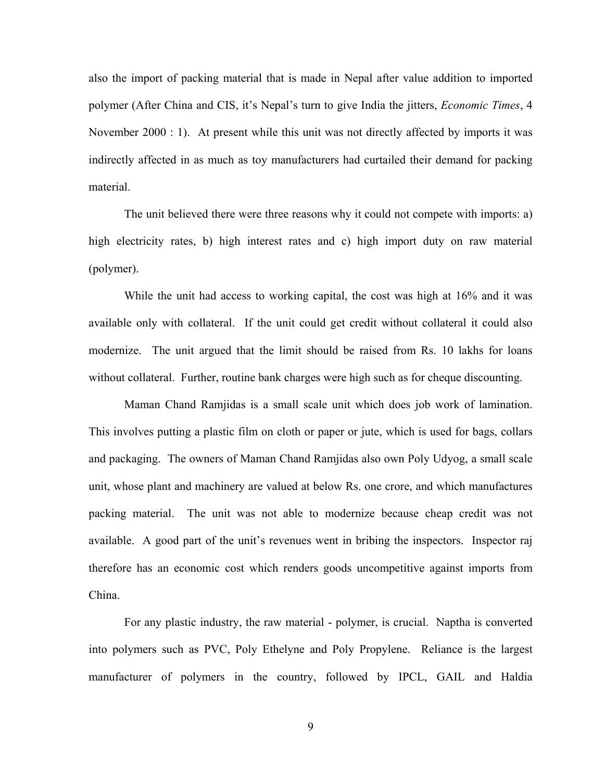also the import of packing material that is made in Nepal after value addition to imported polymer (After China and CIS, it's Nepal's turn to give India the jitters, *Economic Times*, 4 November 2000 : 1). At present while this unit was not directly affected by imports it was indirectly affected in as much as toy manufacturers had curtailed their demand for packing material.

The unit believed there were three reasons why it could not compete with imports: a) high electricity rates, b) high interest rates and c) high import duty on raw material (polymer).

While the unit had access to working capital, the cost was high at 16% and it was available only with collateral. If the unit could get credit without collateral it could also modernize. The unit argued that the limit should be raised from Rs. 10 lakhs for loans without collateral. Further, routine bank charges were high such as for cheque discounting.

Maman Chand Ramjidas is a small scale unit which does job work of lamination. This involves putting a plastic film on cloth or paper or jute, which is used for bags, collars and packaging. The owners of Maman Chand Ramjidas also own Poly Udyog, a small scale unit, whose plant and machinery are valued at below Rs. one crore, and which manufactures packing material. The unit was not able to modernize because cheap credit was not available. A good part of the unit's revenues went in bribing the inspectors. Inspector raj therefore has an economic cost which renders goods uncompetitive against imports from China.

For any plastic industry, the raw material - polymer, is crucial. Naptha is converted into polymers such as PVC, Poly Ethelyne and Poly Propylene. Reliance is the largest manufacturer of polymers in the country, followed by IPCL, GAIL and Haldia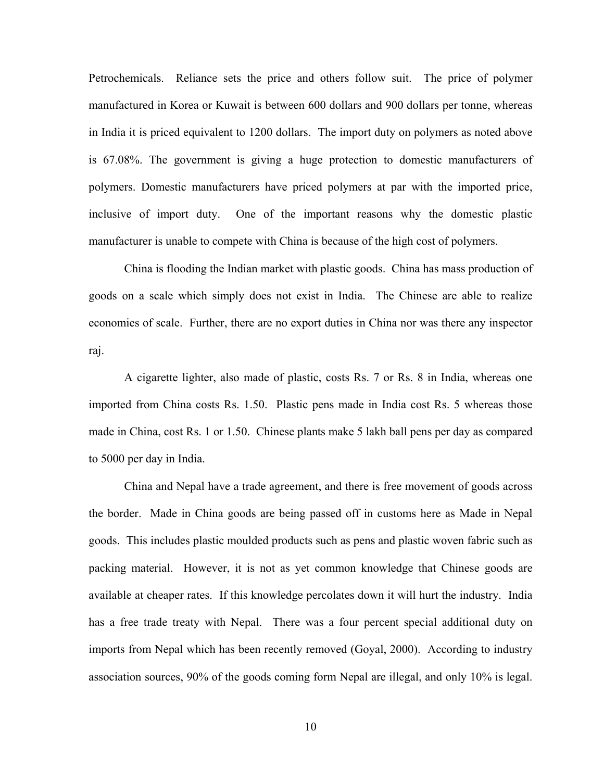Petrochemicals. Reliance sets the price and others follow suit. The price of polymer manufactured in Korea or Kuwait is between 600 dollars and 900 dollars per tonne, whereas in India it is priced equivalent to 1200 dollars. The import duty on polymers as noted above is 67.08%. The government is giving a huge protection to domestic manufacturers of polymers. Domestic manufacturers have priced polymers at par with the imported price, inclusive of import duty. One of the important reasons why the domestic plastic manufacturer is unable to compete with China is because of the high cost of polymers.

China is flooding the Indian market with plastic goods. China has mass production of goods on a scale which simply does not exist in India. The Chinese are able to realize economies of scale. Further, there are no export duties in China nor was there any inspector raj.

A cigarette lighter, also made of plastic, costs Rs. 7 or Rs. 8 in India, whereas one imported from China costs Rs. 1.50. Plastic pens made in India cost Rs. 5 whereas those made in China, cost Rs. 1 or 1.50. Chinese plants make 5 lakh ball pens per day as compared to 5000 per day in India.

China and Nepal have a trade agreement, and there is free movement of goods across the border. Made in China goods are being passed off in customs here as Made in Nepal goods. This includes plastic moulded products such as pens and plastic woven fabric such as packing material. However, it is not as yet common knowledge that Chinese goods are available at cheaper rates. If this knowledge percolates down it will hurt the industry. India has a free trade treaty with Nepal. There was a four percent special additional duty on imports from Nepal which has been recently removed (Goyal, 2000). According to industry association sources, 90% of the goods coming form Nepal are illegal, and only 10% is legal.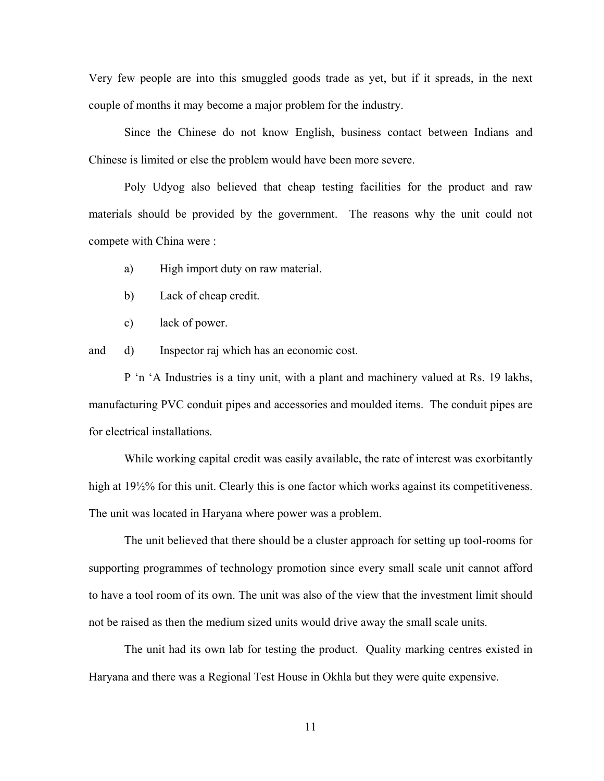Very few people are into this smuggled goods trade as yet, but if it spreads, in the next couple of months it may become a major problem for the industry.

Since the Chinese do not know English, business contact between Indians and Chinese is limited or else the problem would have been more severe.

Poly Udyog also believed that cheap testing facilities for the product and raw materials should be provided by the government. The reasons why the unit could not compete with China were :

a) High import duty on raw material.

- b) Lack of cheap credit.
- c) lack of power.

and d) Inspector raj which has an economic cost.

P 'n 'A Industries is a tiny unit, with a plant and machinery valued at Rs. 19 lakhs, manufacturing PVC conduit pipes and accessories and moulded items. The conduit pipes are for electrical installations.

While working capital credit was easily available, the rate of interest was exorbitantly high at 19½% for this unit. Clearly this is one factor which works against its competitiveness. The unit was located in Haryana where power was a problem.

The unit believed that there should be a cluster approach for setting up tool-rooms for supporting programmes of technology promotion since every small scale unit cannot afford to have a tool room of its own. The unit was also of the view that the investment limit should not be raised as then the medium sized units would drive away the small scale units.

The unit had its own lab for testing the product. Quality marking centres existed in Haryana and there was a Regional Test House in Okhla but they were quite expensive.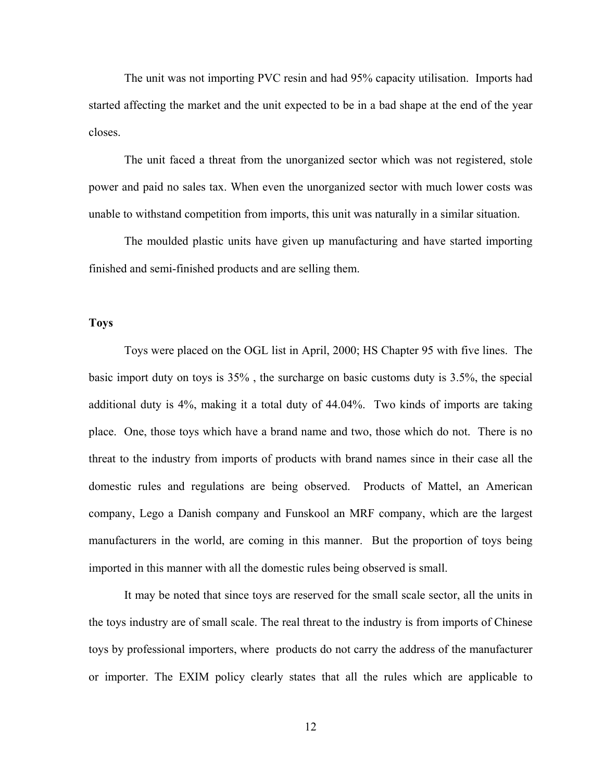The unit was not importing PVC resin and had 95% capacity utilisation. Imports had started affecting the market and the unit expected to be in a bad shape at the end of the year closes.

The unit faced a threat from the unorganized sector which was not registered, stole power and paid no sales tax. When even the unorganized sector with much lower costs was unable to withstand competition from imports, this unit was naturally in a similar situation.

The moulded plastic units have given up manufacturing and have started importing finished and semi-finished products and are selling them.

## **Toys**

Toys were placed on the OGL list in April, 2000; HS Chapter 95 with five lines. The basic import duty on toys is 35% , the surcharge on basic customs duty is 3.5%, the special additional duty is 4%, making it a total duty of 44.04%. Two kinds of imports are taking place. One, those toys which have a brand name and two, those which do not. There is no threat to the industry from imports of products with brand names since in their case all the domestic rules and regulations are being observed. Products of Mattel, an American company, Lego a Danish company and Funskool an MRF company, which are the largest manufacturers in the world, are coming in this manner. But the proportion of toys being imported in this manner with all the domestic rules being observed is small.

It may be noted that since toys are reserved for the small scale sector, all the units in the toys industry are of small scale. The real threat to the industry is from imports of Chinese toys by professional importers, where products do not carry the address of the manufacturer or importer. The EXIM policy clearly states that all the rules which are applicable to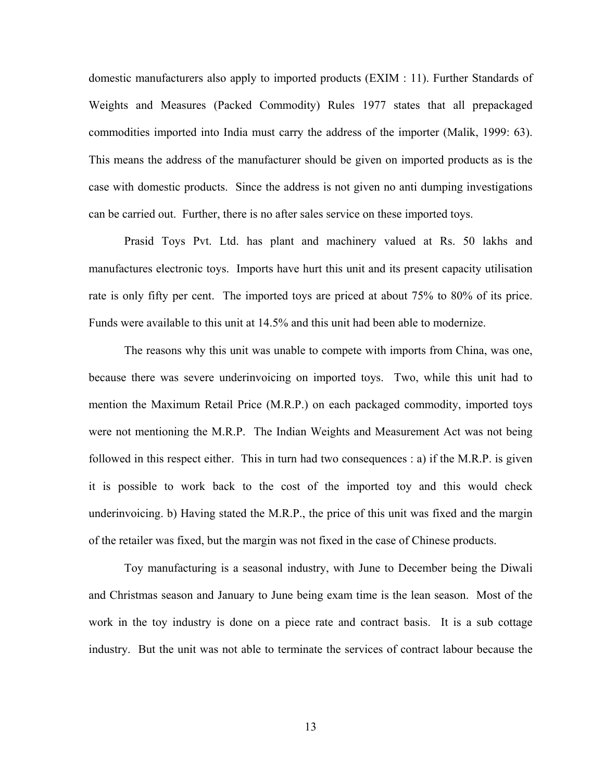domestic manufacturers also apply to imported products (EXIM : 11). Further Standards of Weights and Measures (Packed Commodity) Rules 1977 states that all prepackaged commodities imported into India must carry the address of the importer (Malik, 1999: 63). This means the address of the manufacturer should be given on imported products as is the case with domestic products. Since the address is not given no anti dumping investigations can be carried out. Further, there is no after sales service on these imported toys.

Prasid Toys Pvt. Ltd. has plant and machinery valued at Rs. 50 lakhs and manufactures electronic toys. Imports have hurt this unit and its present capacity utilisation rate is only fifty per cent. The imported toys are priced at about 75% to 80% of its price. Funds were available to this unit at 14.5% and this unit had been able to modernize.

The reasons why this unit was unable to compete with imports from China, was one, because there was severe underinvoicing on imported toys. Two, while this unit had to mention the Maximum Retail Price (M.R.P.) on each packaged commodity, imported toys were not mentioning the M.R.P. The Indian Weights and Measurement Act was not being followed in this respect either. This in turn had two consequences : a) if the M.R.P. is given it is possible to work back to the cost of the imported toy and this would check underinvoicing. b) Having stated the M.R.P., the price of this unit was fixed and the margin of the retailer was fixed, but the margin was not fixed in the case of Chinese products.

Toy manufacturing is a seasonal industry, with June to December being the Diwali and Christmas season and January to June being exam time is the lean season. Most of the work in the toy industry is done on a piece rate and contract basis. It is a sub cottage industry. But the unit was not able to terminate the services of contract labour because the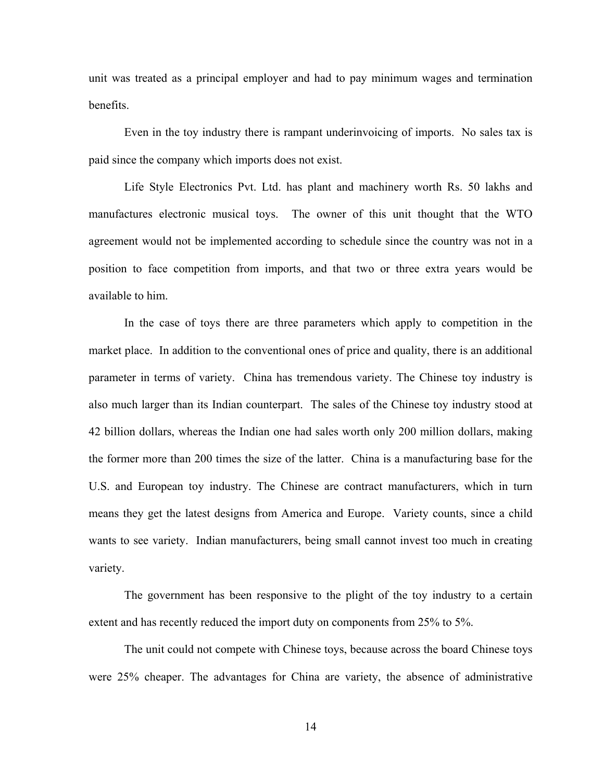unit was treated as a principal employer and had to pay minimum wages and termination benefits.

Even in the toy industry there is rampant underinvoicing of imports. No sales tax is paid since the company which imports does not exist.

Life Style Electronics Pvt. Ltd. has plant and machinery worth Rs. 50 lakhs and manufactures electronic musical toys. The owner of this unit thought that the WTO agreement would not be implemented according to schedule since the country was not in a position to face competition from imports, and that two or three extra years would be available to him.

In the case of toys there are three parameters which apply to competition in the market place. In addition to the conventional ones of price and quality, there is an additional parameter in terms of variety. China has tremendous variety. The Chinese toy industry is also much larger than its Indian counterpart. The sales of the Chinese toy industry stood at 42 billion dollars, whereas the Indian one had sales worth only 200 million dollars, making the former more than 200 times the size of the latter. China is a manufacturing base for the U.S. and European toy industry. The Chinese are contract manufacturers, which in turn means they get the latest designs from America and Europe. Variety counts, since a child wants to see variety. Indian manufacturers, being small cannot invest too much in creating variety.

The government has been responsive to the plight of the toy industry to a certain extent and has recently reduced the import duty on components from 25% to 5%.

The unit could not compete with Chinese toys, because across the board Chinese toys were 25% cheaper. The advantages for China are variety, the absence of administrative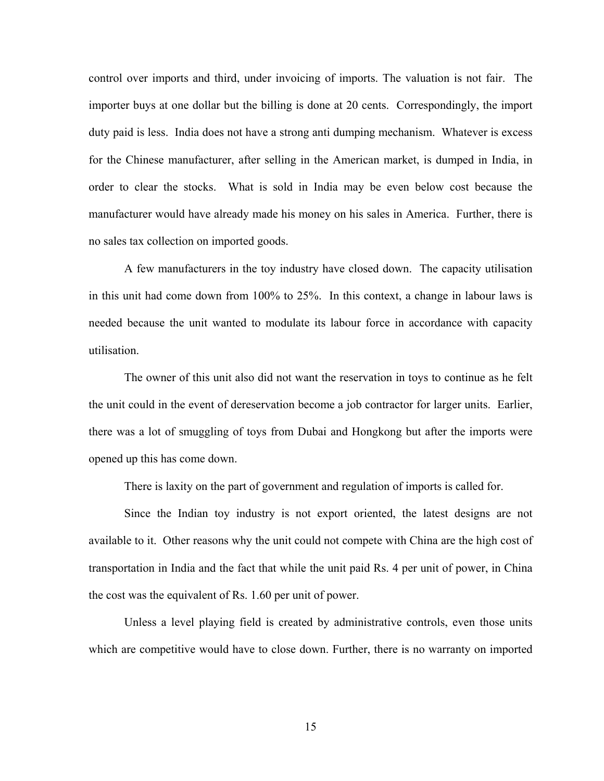control over imports and third, under invoicing of imports. The valuation is not fair. The importer buys at one dollar but the billing is done at 20 cents. Correspondingly, the import duty paid is less. India does not have a strong anti dumping mechanism. Whatever is excess for the Chinese manufacturer, after selling in the American market, is dumped in India, in order to clear the stocks. What is sold in India may be even below cost because the manufacturer would have already made his money on his sales in America. Further, there is no sales tax collection on imported goods.

A few manufacturers in the toy industry have closed down. The capacity utilisation in this unit had come down from 100% to 25%. In this context, a change in labour laws is needed because the unit wanted to modulate its labour force in accordance with capacity utilisation.

The owner of this unit also did not want the reservation in toys to continue as he felt the unit could in the event of dereservation become a job contractor for larger units. Earlier, there was a lot of smuggling of toys from Dubai and Hongkong but after the imports were opened up this has come down.

There is laxity on the part of government and regulation of imports is called for.

Since the Indian toy industry is not export oriented, the latest designs are not available to it. Other reasons why the unit could not compete with China are the high cost of transportation in India and the fact that while the unit paid Rs. 4 per unit of power, in China the cost was the equivalent of Rs. 1.60 per unit of power.

Unless a level playing field is created by administrative controls, even those units which are competitive would have to close down. Further, there is no warranty on imported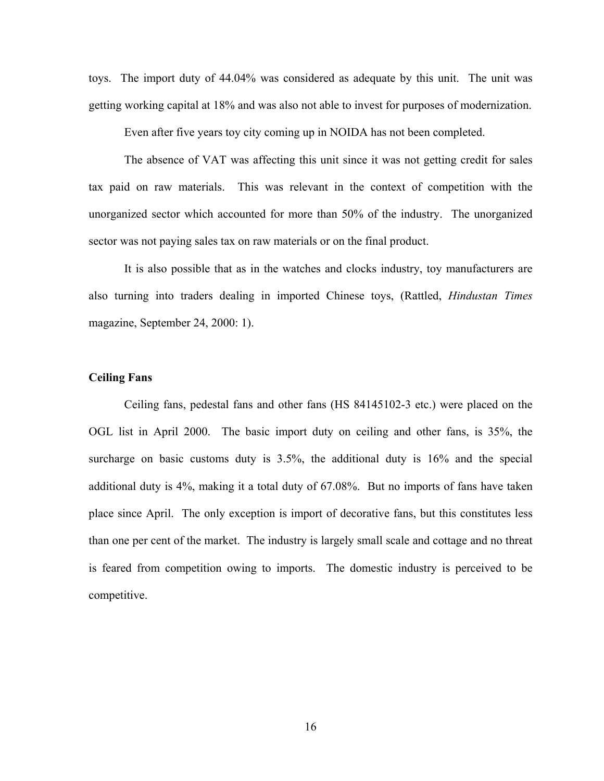toys. The import duty of 44.04% was considered as adequate by this unit. The unit was getting working capital at 18% and was also not able to invest for purposes of modernization.

Even after five years toy city coming up in NOIDA has not been completed.

The absence of VAT was affecting this unit since it was not getting credit for sales tax paid on raw materials. This was relevant in the context of competition with the unorganized sector which accounted for more than 50% of the industry. The unorganized sector was not paying sales tax on raw materials or on the final product.

It is also possible that as in the watches and clocks industry, toy manufacturers are also turning into traders dealing in imported Chinese toys, (Rattled, *Hindustan Times* magazine, September 24, 2000: 1).

## **Ceiling Fans**

Ceiling fans, pedestal fans and other fans (HS 84145102-3 etc.) were placed on the OGL list in April 2000. The basic import duty on ceiling and other fans, is 35%, the surcharge on basic customs duty is 3.5%, the additional duty is 16% and the special additional duty is 4%, making it a total duty of 67.08%. But no imports of fans have taken place since April. The only exception is import of decorative fans, but this constitutes less than one per cent of the market. The industry is largely small scale and cottage and no threat is feared from competition owing to imports. The domestic industry is perceived to be competitive.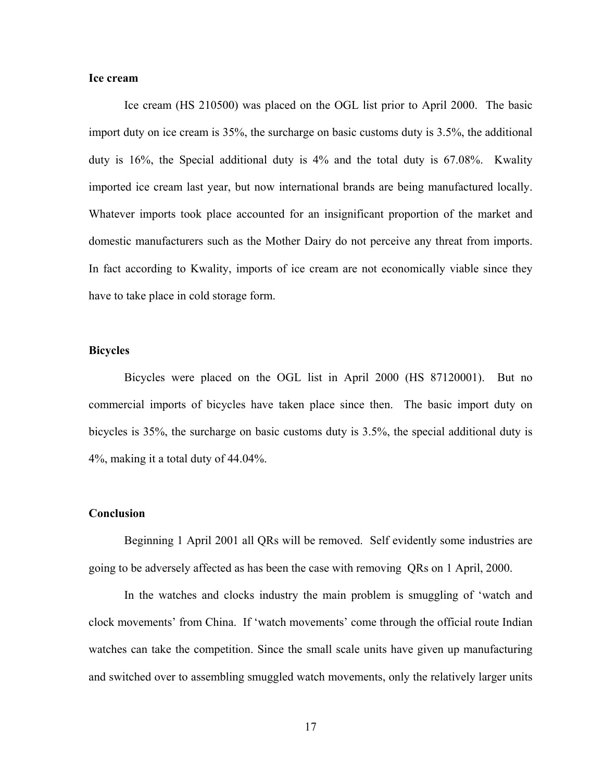## **Ice cream**

Ice cream (HS 210500) was placed on the OGL list prior to April 2000. The basic import duty on ice cream is 35%, the surcharge on basic customs duty is 3.5%, the additional duty is 16%, the Special additional duty is 4% and the total duty is 67.08%. Kwality imported ice cream last year, but now international brands are being manufactured locally. Whatever imports took place accounted for an insignificant proportion of the market and domestic manufacturers such as the Mother Dairy do not perceive any threat from imports. In fact according to Kwality, imports of ice cream are not economically viable since they have to take place in cold storage form.

#### **Bicycles**

Bicycles were placed on the OGL list in April 2000 (HS 87120001). But no commercial imports of bicycles have taken place since then. The basic import duty on bicycles is 35%, the surcharge on basic customs duty is 3.5%, the special additional duty is 4%, making it a total duty of 44.04%.

#### **Conclusion**

Beginning 1 April 2001 all QRs will be removed. Self evidently some industries are going to be adversely affected as has been the case with removing QRs on 1 April, 2000.

In the watches and clocks industry the main problem is smuggling of 'watch and clock movements' from China. If 'watch movements' come through the official route Indian watches can take the competition. Since the small scale units have given up manufacturing and switched over to assembling smuggled watch movements, only the relatively larger units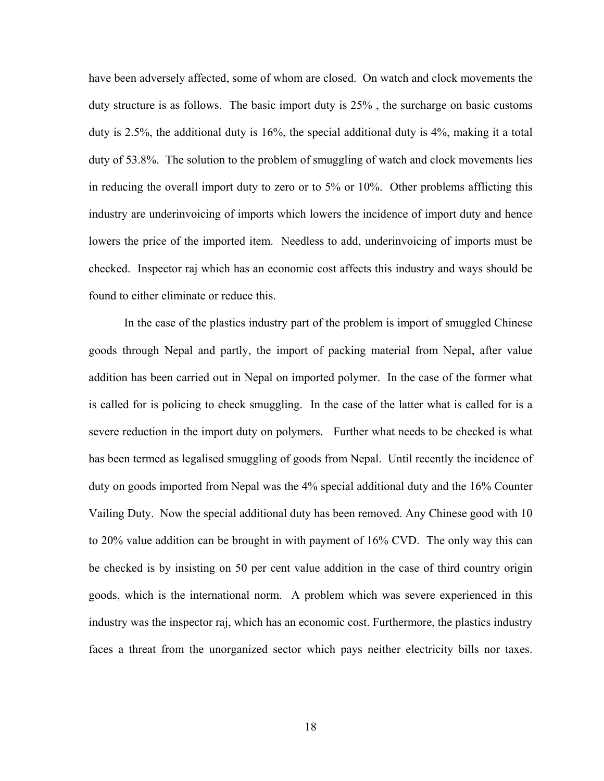have been adversely affected, some of whom are closed. On watch and clock movements the duty structure is as follows. The basic import duty is 25% , the surcharge on basic customs duty is 2.5%, the additional duty is 16%, the special additional duty is 4%, making it a total duty of 53.8%. The solution to the problem of smuggling of watch and clock movements lies in reducing the overall import duty to zero or to 5% or 10%. Other problems afflicting this industry are underinvoicing of imports which lowers the incidence of import duty and hence lowers the price of the imported item. Needless to add, underinvoicing of imports must be checked. Inspector raj which has an economic cost affects this industry and ways should be found to either eliminate or reduce this.

In the case of the plastics industry part of the problem is import of smuggled Chinese goods through Nepal and partly, the import of packing material from Nepal, after value addition has been carried out in Nepal on imported polymer. In the case of the former what is called for is policing to check smuggling. In the case of the latter what is called for is a severe reduction in the import duty on polymers. Further what needs to be checked is what has been termed as legalised smuggling of goods from Nepal. Until recently the incidence of duty on goods imported from Nepal was the 4% special additional duty and the 16% Counter Vailing Duty. Now the special additional duty has been removed. Any Chinese good with 10 to 20% value addition can be brought in with payment of 16% CVD. The only way this can be checked is by insisting on 50 per cent value addition in the case of third country origin goods, which is the international norm. A problem which was severe experienced in this industry was the inspector raj, which has an economic cost. Furthermore, the plastics industry faces a threat from the unorganized sector which pays neither electricity bills nor taxes.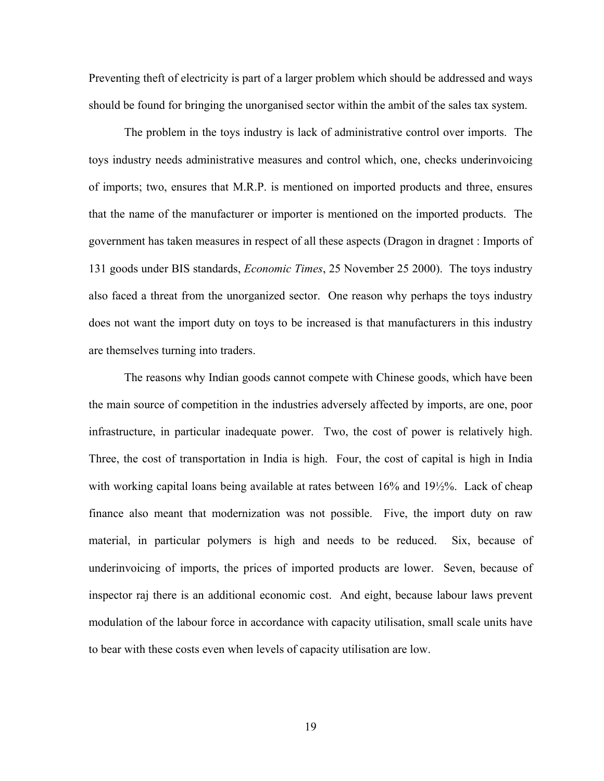Preventing theft of electricity is part of a larger problem which should be addressed and ways should be found for bringing the unorganised sector within the ambit of the sales tax system.

The problem in the toys industry is lack of administrative control over imports. The toys industry needs administrative measures and control which, one, checks underinvoicing of imports; two, ensures that M.R.P. is mentioned on imported products and three, ensures that the name of the manufacturer or importer is mentioned on the imported products. The government has taken measures in respect of all these aspects (Dragon in dragnet : Imports of 131 goods under BIS standards, *Economic Times*, 25 November 25 2000). The toys industry also faced a threat from the unorganized sector. One reason why perhaps the toys industry does not want the import duty on toys to be increased is that manufacturers in this industry are themselves turning into traders.

The reasons why Indian goods cannot compete with Chinese goods, which have been the main source of competition in the industries adversely affected by imports, are one, poor infrastructure, in particular inadequate power. Two, the cost of power is relatively high. Three, the cost of transportation in India is high. Four, the cost of capital is high in India with working capital loans being available at rates between 16% and 19½%. Lack of cheap finance also meant that modernization was not possible. Five, the import duty on raw material, in particular polymers is high and needs to be reduced. Six, because of underinvoicing of imports, the prices of imported products are lower. Seven, because of inspector raj there is an additional economic cost. And eight, because labour laws prevent modulation of the labour force in accordance with capacity utilisation, small scale units have to bear with these costs even when levels of capacity utilisation are low.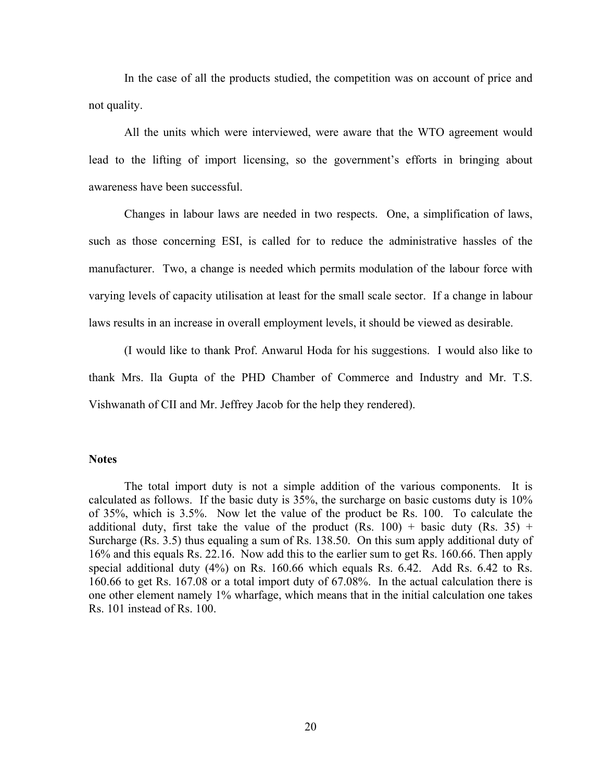In the case of all the products studied, the competition was on account of price and not quality.

All the units which were interviewed, were aware that the WTO agreement would lead to the lifting of import licensing, so the government's efforts in bringing about awareness have been successful.

Changes in labour laws are needed in two respects. One, a simplification of laws, such as those concerning ESI, is called for to reduce the administrative hassles of the manufacturer. Two, a change is needed which permits modulation of the labour force with varying levels of capacity utilisation at least for the small scale sector. If a change in labour laws results in an increase in overall employment levels, it should be viewed as desirable.

(I would like to thank Prof. Anwarul Hoda for his suggestions. I would also like to thank Mrs. Ila Gupta of the PHD Chamber of Commerce and Industry and Mr. T.S. Vishwanath of CII and Mr. Jeffrey Jacob for the help they rendered).

## **Notes**

The total import duty is not a simple addition of the various components. It is calculated as follows. If the basic duty is 35%, the surcharge on basic customs duty is 10% of 35%, which is 3.5%. Now let the value of the product be Rs. 100. To calculate the additional duty, first take the value of the product (Rs. 100) + basic duty (Rs. 35) + Surcharge (Rs. 3.5) thus equaling a sum of Rs. 138.50. On this sum apply additional duty of 16% and this equals Rs. 22.16. Now add this to the earlier sum to get Rs. 160.66. Then apply special additional duty (4%) on Rs. 160.66 which equals Rs. 6.42. Add Rs. 6.42 to Rs. 160.66 to get Rs. 167.08 or a total import duty of 67.08%. In the actual calculation there is one other element namely 1% wharfage, which means that in the initial calculation one takes Rs. 101 instead of Rs. 100.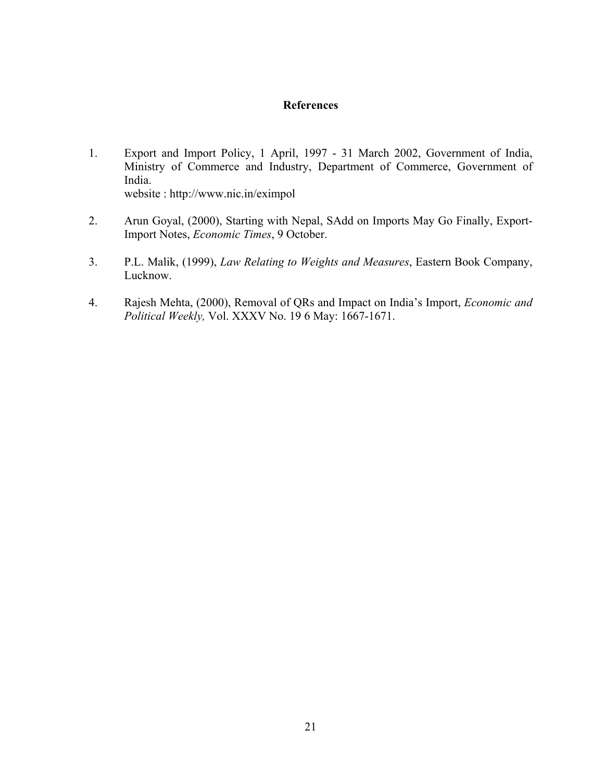# **References**

- 1. Export and Import Policy, 1 April, 1997 31 March 2002, Government of India, Ministry of Commerce and Industry, Department of Commerce, Government of India. website : http://www.nic.in/eximpol
- 2. Arun Goyal, (2000), Starting with Nepal, SAdd on Imports May Go Finally, Export-Import Notes, *Economic Times*, 9 October.
- 3. P.L. Malik, (1999), *Law Relating to Weights and Measures*, Eastern Book Company, Lucknow.
- 4. Rajesh Mehta, (2000), Removal of QRs and Impact on India's Import, *Economic and Political Weekly,* Vol. XXXV No. 19 6 May: 1667-1671.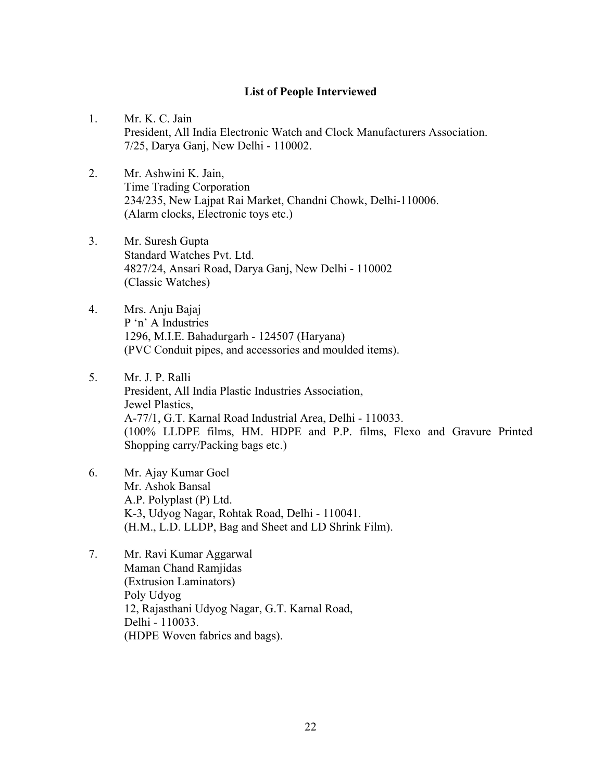# **List of People Interviewed**

- 1. Mr. K. C. Jain President, All India Electronic Watch and Clock Manufacturers Association. 7/25, Darya Ganj, New Delhi - 110002.
- 2. Mr. Ashwini K. Jain, Time Trading Corporation 234/235, New Lajpat Rai Market, Chandni Chowk, Delhi-110006. (Alarm clocks, Electronic toys etc.)
- 3. Mr. Suresh Gupta Standard Watches Pvt. Ltd. 4827/24, Ansari Road, Darya Ganj, New Delhi - 110002 (Classic Watches)
- 4. Mrs. Anju Bajaj P 'n' A Industries 1296, M.I.E. Bahadurgarh - 124507 (Haryana) (PVC Conduit pipes, and accessories and moulded items).
- 5. Mr. J. P. Ralli President, All India Plastic Industries Association, Jewel Plastics, A-77/1, G.T. Karnal Road Industrial Area, Delhi - 110033. (100% LLDPE films, HM. HDPE and P.P. films, Flexo and Gravure Printed Shopping carry/Packing bags etc.)
- 6. Mr. Ajay Kumar Goel Mr. Ashok Bansal A.P. Polyplast (P) Ltd. K-3, Udyog Nagar, Rohtak Road, Delhi - 110041. (H.M., L.D. LLDP, Bag and Sheet and LD Shrink Film).
- 7. Mr. Ravi Kumar Aggarwal Maman Chand Ramjidas (Extrusion Laminators) Poly Udyog 12, Rajasthani Udyog Nagar, G.T. Karnal Road, Delhi - 110033. (HDPE Woven fabrics and bags).